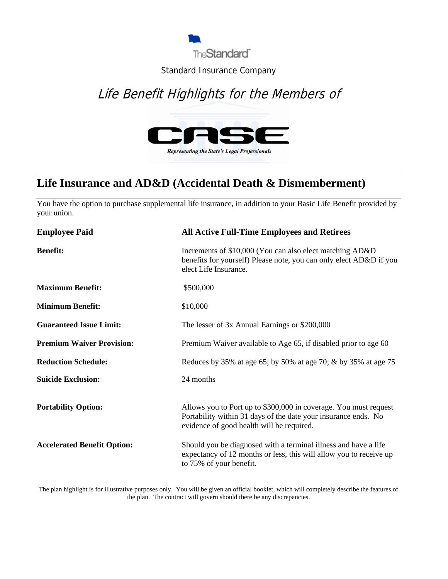

#### Standard Insurance Company

# Life Benefit Highlights for the Members of



### **Life Insurance and AD&D (Accidental Death & Dismemberment)**

You have the option to purchase supplemental life insurance, in addition to your Basic Life Benefit provided by your union.

| <b>Employee Paid</b>               | <b>All Active Full-Time Employees and Retirees</b>                                                                                                                              |
|------------------------------------|---------------------------------------------------------------------------------------------------------------------------------------------------------------------------------|
| <b>Benefit:</b>                    | Increments of \$10,000 (You can also elect matching AD&D)<br>benefits for yourself) Please note, you can only elect AD&D if you<br>elect Life Insurance.                        |
| <b>Maximum Benefit:</b>            | \$500,000                                                                                                                                                                       |
| <b>Minimum Benefit:</b>            | \$10,000                                                                                                                                                                        |
| <b>Guaranteed Issue Limit:</b>     | The lesser of 3x Annual Earnings or \$200,000                                                                                                                                   |
| <b>Premium Waiver Provision:</b>   | Premium Waiver available to Age 65, if disabled prior to age 60                                                                                                                 |
| <b>Reduction Schedule:</b>         | Reduces by 35% at age 65; by 50% at age 70; & by 35% at age 75                                                                                                                  |
| <b>Suicide Exclusion:</b>          | 24 months                                                                                                                                                                       |
| <b>Portability Option:</b>         | Allows you to Port up to \$300,000 in coverage. You must request<br>Portability within 31 days of the date your insurance ends. No<br>evidence of good health will be required. |
| <b>Accelerated Benefit Option:</b> | Should you be diagnosed with a terminal illness and have a life<br>expectancy of 12 months or less, this will allow you to receive up<br>to 75% of your benefit.                |

The plan highlight is for illustrative purposes only. You will be given an official booklet, which will completely describe the features of the plan. The contract will govern should there be any discrepancies.